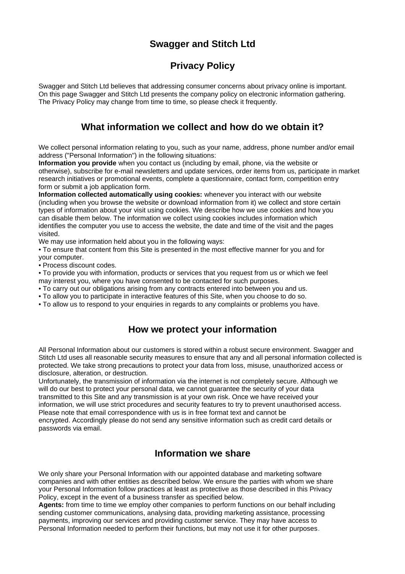# **Swagger and Stitch Ltd**

# **Privacy Policy**

Swagger and Stitch Ltd believes that addressing consumer concerns about privacy online is important. On this page Swagger and Stitch Ltd presents the company policy on electronic information gathering. The Privacy Policy may change from time to time, so please check it frequently.

### **What information we collect and how do we obtain it?**

We collect personal information relating to you, such as your name, address, phone number and/or email address ("Personal Information") in the following situations:

**Information you provide** when you contact us (including by email, phone, via the website or otherwise), subscribe for e-mail newsletters and update services, order items from us, participate in market research initiatives or promotional events, complete a questionnaire, contact form, competition entry form or submit a job application form.

**Information collected automatically using cookies:** whenever you interact with our website (including when you browse the website or download information from it) we collect and store certain types of information about your visit using cookies. We describe how we use cookies and how you can disable them below. The information we collect using cookies includes information which identifies the computer you use to access the website, the date and time of the visit and the pages visited.

We may use information held about you in the following ways:

• To ensure that content from this Site is presented in the most effective manner for you and for your computer.

• Process discount codes.

• To provide you with information, products or services that you request from us or which we feel may interest you, where you have consented to be contacted for such purposes.

• To carry out our obligations arising from any contracts entered into between you and us.

• To allow you to participate in interactive features of this Site, when you choose to do so.

• To allow us to respond to your enquiries in regards to any complaints or problems you have.

### **How we protect your information**

All Personal Information about our customers is stored within a robust secure environment. Swagger and Stitch Ltd uses all reasonable security measures to ensure that any and all personal information collected is protected. We take strong precautions to protect your data from loss, misuse, unauthorized access or disclosure, alteration, or destruction.

Unfortunately, the transmission of information via the internet is not completely secure. Although we will do our best to protect your personal data, we cannot guarantee the security of your data transmitted to this Site and any transmission is at your own risk. Once we have received your information, we will use strict procedures and security features to try to prevent unauthorised access. Please note that email correspondence with us is in free format text and cannot be encrypted. Accordingly please do not send any sensitive information such as credit card details or passwords via email.

## **Information we share**

We only share your Personal Information with our appointed database and marketing software companies and with other entities as described below. We ensure the parties with whom we share your Personal Information follow practices at least as protective as those described in this Privacy Policy, except in the event of a business transfer as specified below.

**Agents:** from time to time we employ other companies to perform functions on our behalf including sending customer communications, analysing data, providing marketing assistance, processing payments, improving our services and providing customer service. They may have access to Personal Information needed to perform their functions, but may not use it for other purposes.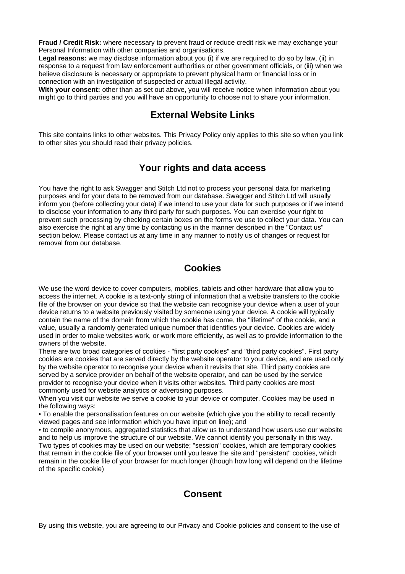**Fraud / Credit Risk:** where necessary to prevent fraud or reduce credit risk we may exchange your Personal Information with other companies and organisations.

**Legal reasons:** we may disclose information about you (i) if we are required to do so by law, (ii) in response to a request from law enforcement authorities or other government officials, or (iii) when we believe disclosure is necessary or appropriate to prevent physical harm or financial loss or in connection with an investigation of suspected or actual illegal activity.

**With your consent:** other than as set out above, you will receive notice when information about you might go to third parties and you will have an opportunity to choose not to share your information.

#### **External Website Links**

This site contains links to other websites. This Privacy Policy only applies to this site so when you link to other sites you should read their privacy policies.

### **Your rights and data access**

You have the right to ask Swagger and Stitch Ltd not to process your personal data for marketing purposes and for your data to be removed from our database. Swagger and Stitch Ltd will usually inform you (before collecting your data) if we intend to use your data for such purposes or if we intend to disclose your information to any third party for such purposes. You can exercise your right to prevent such processing by checking certain boxes on the forms we use to collect your data. You can also exercise the right at any time by contacting us in the manner described in the "Contact us" section below. Please contact us at any time in any manner to notify us of changes or request for removal from our database.

#### **Cookies**

We use the word device to cover computers, mobiles, tablets and other hardware that allow you to access the internet. A cookie is a text-only string of information that a website transfers to the cookie file of the browser on your device so that the website can recognise your device when a user of your device returns to a website previously visited by someone using your device. A cookie will typically contain the name of the domain from which the cookie has come, the "lifetime" of the cookie, and a value, usually a randomly generated unique number that identifies your device. Cookies are widely used in order to make websites work, or work more efficiently, as well as to provide information to the owners of the website.

There are two broad categories of cookies - "first party cookies" and "third party cookies". First party cookies are cookies that are served directly by the website operator to your device, and are used only by the website operator to recognise your device when it revisits that site. Third party cookies are served by a service provider on behalf of the website operator, and can be used by the service provider to recognise your device when it visits other websites. Third party cookies are most commonly used for website analytics or advertising purposes.

When you visit our website we serve a cookie to your device or computer. Cookies may be used in the following ways:

• To enable the personalisation features on our website (which give you the ability to recall recently viewed pages and see information which you have input on line); and

• to compile anonymous, aggregated statistics that allow us to understand how users use our website and to help us improve the structure of our website. We cannot identify you personally in this way. Two types of cookies may be used on our website; "session" cookies, which are temporary cookies that remain in the cookie file of your browser until you leave the site and "persistent" cookies, which remain in the cookie file of your browser for much longer (though how long will depend on the lifetime of the specific cookie)

### **Consent**

By using this website, you are agreeing to our Privacy and Cookie policies and consent to the use of